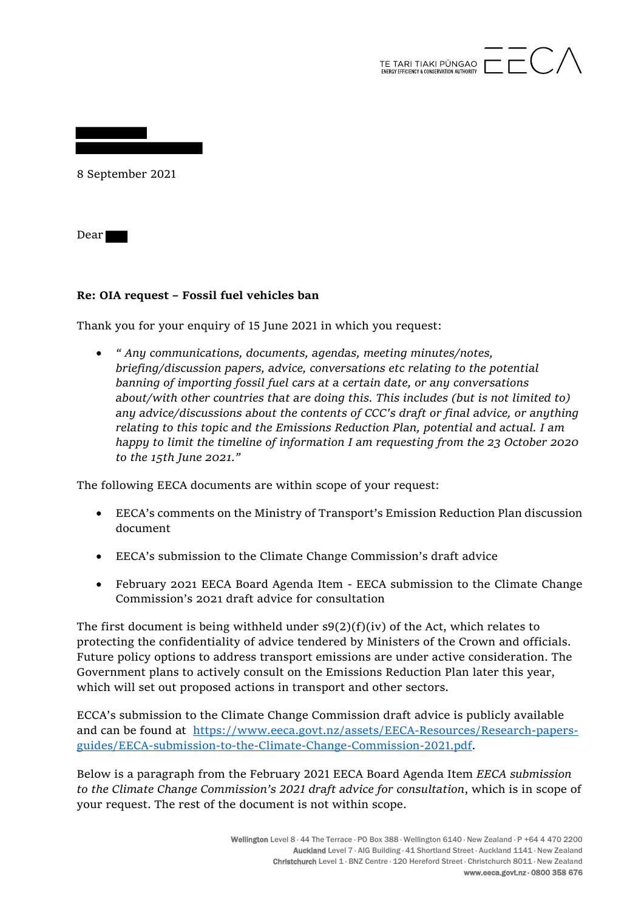

8 September 2021

Dear

## **Re: OIA request – Fossil fuel vehicles ban**

Thank you for your enquiry of 15 June 2021 in which you request:

• *" Any communications, documents, agendas, meeting minutes/notes, briefing/discussion papers, advice, conversations etc relating to the potential banning of importing fossil fuel cars at a certain date, or any conversations about/with other countries that are doing this. This includes (but is not limited to) any advice/discussions about the contents of CCC's draft or final advice, or anything relating to this topic and the Emissions Reduction Plan, potential and actual. I am happy to limit the timeline of information I am requesting from the 23 October 2020 to the 15th June 2021."*

The following EECA documents are within scope of your request:

- EECA's comments on the Ministry of Transport's Emission Reduction Plan discussion document
- EECA's submission to the Climate Change Commission's draft advice
- February 2021 EECA Board Agenda Item EECA submission to the Climate Change Commission's 2021 draft advice for consultation

The first document is being withheld under  $s9(2)(f)(iv)$  of the Act, which relates to protecting the confidentiality of advice tendered by Ministers of the Crown and officials. Future policy options to address transport emissions are under active consideration. The Government plans to actively consult on the Emissions Reduction Plan later this year, which will set out proposed actions in transport and other sectors.

ECCA's submission to the Climate Change Commission draft advice is publicly available and can be found at https://www.eeca.govt.nz/assets/EECA-Resources/Research-papersguides/EECA-submission-to-the-Climate-Change-Commission-2021.pdf.

Below is a paragraph from the February 2021 EECA Board Agenda Item *EECA submission to the Climate Change Commission's 2021 draft advice for consultation*, which is in scope of your request. The rest of the document is not within scope.